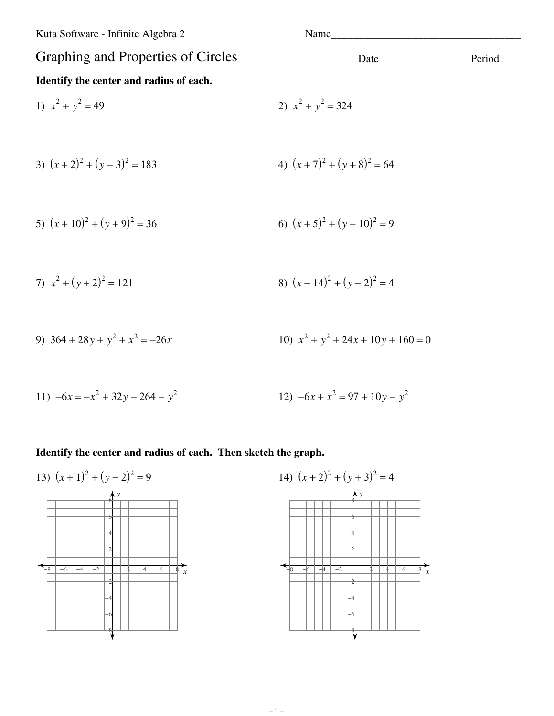Kuta Software - Infinite Algebra 2

# Graphing and Properties of Circles Identify the center and radius of each.

2)  $x^2 + y^2 = 324$ 

1) 
$$
x^2 + y^2 = 49
$$

3) 
$$
(x+2)^2 + (y-3)^2 = 183
$$
  
4)  $(x+7)^2 + (y+8)^2 = 64$ 

5) 
$$
(x+10)^2 + (y+9)^2 = 36
$$
  
6)  $(x+5)^2 + (y-10)^2 = 9$ 

7) 
$$
x^2 + (y+2)^2 = 121
$$
  
8)  $(x-14)^2 + (y-2)^2 = 4$ 

9) 
$$
364 + 28y + y^2 + x^2 = -26x
$$
  
10)  $x^2 + y^2 + 24x + 10y + 160 = 0$ 

11) 
$$
-6x = -x^2 + 32y - 264 - y^2
$$
  
12)  $-6x + x^2 = 97 + 10y - y^2$ 

#### Identify the center and radius of each. Then sketch the graph.

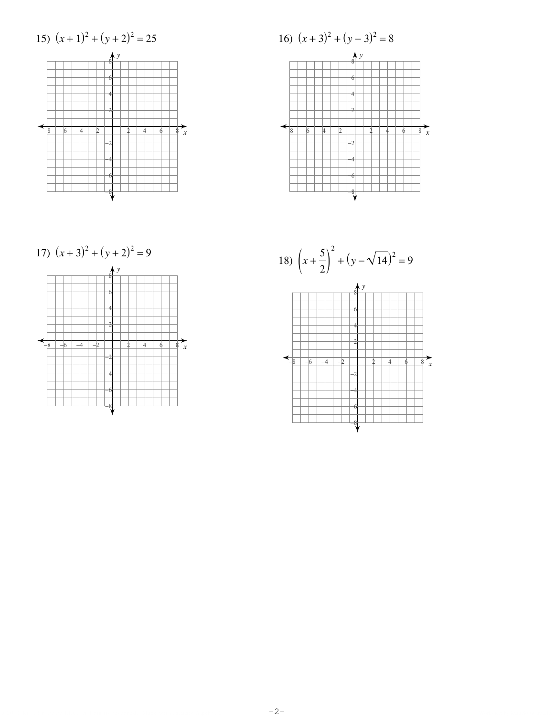



17) 
$$
(x+3)^2 + (y+2)^2 = 9
$$



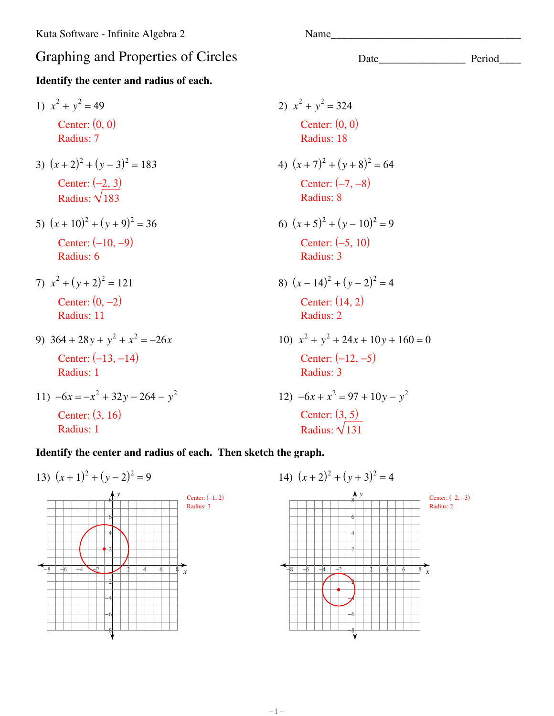## Graphing and Properties of Circles Date\_\_\_\_\_\_\_\_\_\_\_\_\_\_\_\_\_\_\_\_ Period\_\_\_\_\_\_\_\_\_\_\_\_\_\_

### **Identify the center and radius of each.**

1)  $x^2 + y^2 = 49$ Center: (0, 0) Radius: 7 3)  $(x+2)^2 + (y-3)^2 = 183$ Center:  $(-2, 3)$ Radius:  $\sqrt{183}$ 5)  $(x+10)^2 + (y+9)^2 = 36$ Center: (−10, −9) Radius: 6 7)  $x^2 + (y+2)^2 = 121$ Center: (0, −2) Radius: 11 9)  $364 + 28y + y^2 + x^2 = -26x$ 

Center: (−13, −14) Radius: 1

11) 
$$
-6x = -x^2 + 32y - 264 - y^2
$$
  
Center: (3, 16)  
Radius: 1

2) 
$$
x^2 + y^2 = 324
$$
  
\nCenter: (0, 0)  
\nRadius: 18  
\n4)  $(x + 7)^2 + (y + 8)^2 = 64$   
\nCenter: (-7, -8)  
\nRadius: 8  
\n6)  $(x + 5)^2 + (y - 10)^2 = 9$   
\nCenter: (-5, 10)  
\nRadius: 3  
\n8)  $(x - 14)^2 + (y - 2)^2 = 4$   
\nCenter: (14, 2)  
\nRadius: 2  
\n10)  $x^2 + y^2 + 24x + 10y + 160 = 0$   
\nCenter: (-12, -5)  
\nRadius: 3  
\n12)  $-6x + x^2 = 97 + 10y - y^2$   
\nCenter: (3, 5)

Radius:  $\sqrt{131}$ 

### **Identify the center and radius of each. Then sketch the graph.**



14) (*x* + 2) 2 + (*y* + 3) 2 = 4 *x y* −8 −6 −4 −2 2 4 6 8 −6 −4 −2 2 4 6 8 Center: (−2, −3) Radius: 2

−8